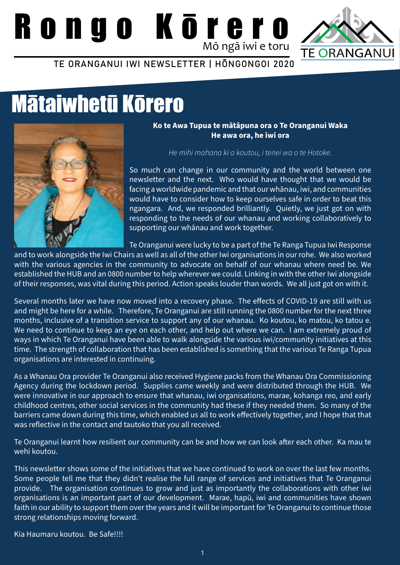# Rongo Kōrero



TE ORANGANUI IWI NEWSLETTER | HŌNGONGOI 2020

### Mātaiwhetū Kōrero



**Ko te Awa Tupua te mātāpuna ora o Te Oranganui Waka He awa ora, he iwi ora**

*He mihi mahana ki a koutou, i tenei wa o te Hotoke.*

So much can change in our community and the world between one newsletter and the next. Who would have thought that we would be facing a worldwide pandemic and that our whānau, iwi, and communities would have to consider how to keep ourselves safe in order to beat this ngangara. And, we responded brilliantly. Quietly, we just got on with responding to the needs of our whanau and working collaboratively to supporting our whānau and work together.

Te Oranganui were lucky to be a part of the Te Ranga Tupua Iwi Response

and to work alongside the Iwi Chairs as well as all of the other Iwi organisations in our rohe. We also worked with the various agencies in the community to advocate on behalf of our whanau where need be. We established the HUB and an 0800 number to help wherever we could. Linking in with the other Iwi alongside of their responses, was vital during this period. Action speaks louder than words. We all just got on with it.

Several months later we have now moved into a recovery phase. The effects of COVID-19 are still with us and might be here for a while. Therefore, Te Oranganui are still running the 0800 number for the next three months, inclusive of a transition service to support any of our whanau. Ko koutou, ko matou, ko tatou e. We need to continue to keep an eye on each other, and help out where we can. I am extremely proud of ways in which Te Oranganui have been able to walk alongside the various iwi/community initiatives at this time. The strength of collaboration that has been established is something that the various Te Ranga Tupua organisations are interested in continuing.

As a Whanau Ora provider Te Oranganui also received Hygiene packs from the Whanau Ora Commissioning Agency during the lockdown period. Supplies came weekly and were distributed through the HUB. We were innovative in our approach to ensure that whanau, iwi organisations, marae, kohanga reo, and early childhood centres, other social services in the community had these if they needed them. So many of the barriers came down during this time, which enabled us all to work effectively together, and I hope that that was reflective in the contact and tautoko that you all received.

Te Oranganui learnt how resilient our community can be and how we can look after each other. Ka mau te wehi koutou.

This newsletter shows some of the initiatives that we have continued to work on over the last few months. Some people tell me that they didn't realise the full range of services and initiatives that Te Oranganui provide. The organisation continues to grow and just as importantly the collaborations with other iwi organisations is an important part of our development. Marae, hapū, iwi and communities have shown faith in our ability to support them over the years and it will be important for Te Oranganui to continue those strong relationships moving forward.

Kia Haumaru koutou. Be Safe!!!!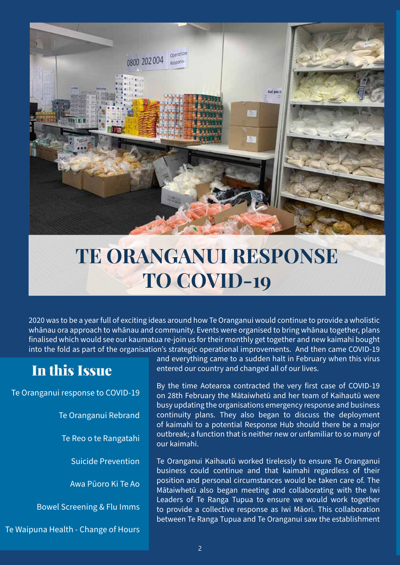

### **TE ORANGANUI RESPONSE TO COVID-19**

2020 was to be a year full of exciting ideas around how Te Oranganui would continue to provide a wholistic whānau ora approach to whānau and community. Events were organised to bring whānau together, plans finalised which would see our kaumatua re-join us for their monthly get together and new kaimahi bought into the fold as part of the organisation's strategic operational improvements. And then came COVID-19

#### In this Issue

Te Oranganui response to COVID-19

Te Oranganui Rebrand

Te Reo o te Rangatahi

Suicide Prevention

Awa Pūoro Ki Te Ao

Bowel Screening & Flu Imms

Te Waipuna Health - Change of Hours

and everything came to a sudden halt in February when this virus entered our country and changed all of our lives.

By the time Aotearoa contracted the very first case of COVID-19 on 28th February the Mātaiwhetū and her team of Kaihautū were busy updating the organisations emergency response and business continuity plans. They also began to discuss the deployment of kaimahi to a potential Response Hub should there be a major outbreak; a function that is neither new or unfamiliar to so many of our kaimahi.

Te Oranganui Kaihautū worked tirelessly to ensure Te Oranganui business could continue and that kaimahi regardless of their position and personal circumstances would be taken care of. The Mātaiwhetū also began meeting and collaborating with the Iwi Leaders of Te Ranga Tupua to ensure we would work together to provide a collective response as Iwi Māori. This collaboration between Te Ranga Tupua and Te Oranganui saw the establishment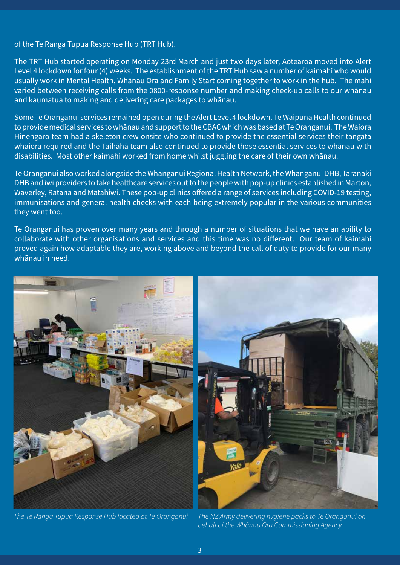of the Te Ranga Tupua Response Hub (TRT Hub).

The TRT Hub started operating on Monday 23rd March and just two days later, Aotearoa moved into Alert Level 4 lockdown for four (4) weeks. The establishment of the TRT Hub saw a number of kaimahi who would usually work in Mental Health, Whānau Ora and Family Start coming together to work in the hub. The mahi varied between receiving calls from the 0800-response number and making check-up calls to our whānau and kaumatua to making and delivering care packages to whānau.

Some Te Oranganui services remained open during the Alert Level 4 lockdown. Te Waipuna Health continued to provide medical services to whānau and support to the CBAC which was based at Te Oranganui. The Waiora Hinengaro team had a skeleton crew onsite who continued to provide the essential services their tangata whaiora required and the Taihāhā team also continued to provide those essential services to whānau with disabilities. Most other kaimahi worked from home whilst juggling the care of their own whānau.

Te Oranganui also worked alongside the Whanganui Regional Health Network, the Whanganui DHB, Taranaki DHB and iwi providers to take healthcare services out to the people with pop-up clinics established in Marton, Waverley, Ratana and Matahiwi. These pop-up clinics offered a range of services including COVID-19 testing, immunisations and general health checks with each being extremely popular in the various communities they went too.

Te Oranganui has proven over many years and through a number of situations that we have an ability to collaborate with other organisations and services and this time was no different. Our team of kaimahi proved again how adaptable they are, working above and beyond the call of duty to provide for our many whānau in need.





*The Te Ranga Tupua Response Hub located at Te Oranganui The NZ Army delivering hygiene packs to Te Oranganui on behalf of the Whānau Ora Commissioning Agency*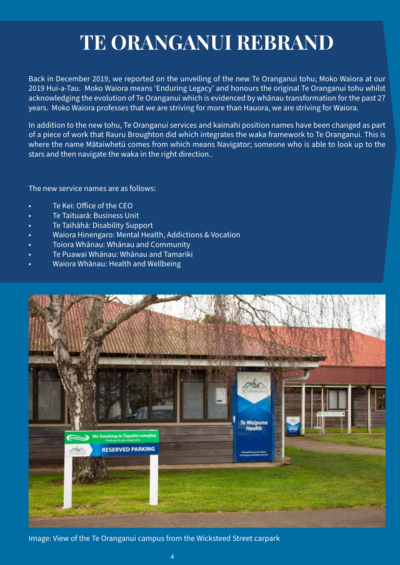### **TE ORANGANUI REBRAND**

Back in December 2019, we reported on the unveiling of the new Te Oranganui tohu; Moko Waiora at our 2019 Hui-a-Tau. Moko Waiora means 'Enduring Legacy' and honours the original Te Oranganui tohu whilst acknowledging the evolution of Te Oranganui which is evidenced by whānau transformation for the past 27 years. Moko Waiora professes that we are striving for more than Hauora, we are striving for Waiora.

In addition to the new tohu, Te Oranganui services and kaimahi position names have been changed as part of a piece of work that Rauru Broughton did which integrates the waka framework to Te Oranganui. This is where the name Mātaiwhetū comes from which means Navigator; someone who is able to look up to the stars and then navigate the waka in the right direction..

The new service names are as follows:

- Te Kei: Office of the CEO
- Te Taituarā: Business Unit
- Te Taihāhā: Disability Support
- Waiora Hinengaro: Mental Health, Addictions & Vocation
- Toiora Whānau: Whānau and Community
- Te Puawai Whānau: Whānau and Tamariki
- Waiora Whānau: Health and Wellbeing



Image: View of the Te Oranganui campus from the Wicksteed Street carpark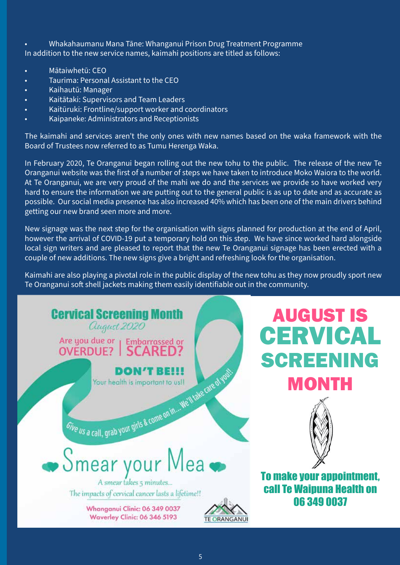• Whakahaumanu Mana Tāne: Whanganui Prison Drug Treatment Programme In addition to the new service names, kaimahi positions are titled as follows:

- Mātaiwhetū: CEO
- Taurima: Personal Assistant to the CEO
- Kaihautū: Manager
- Kaitātaki: Supervisors and Team Leaders
- Kaitūruki: Frontline/support worker and coordinators
- Kaipaneke: Administrators and Receptionists

The kaimahi and services aren't the only ones with new names based on the waka framework with the Board of Trustees now referred to as Tumu Herenga Waka.

In February 2020, Te Oranganui began rolling out the new tohu to the public. The release of the new Te Oranganui website was the first of a number of steps we have taken to introduce Moko Waiora to the world. At Te Oranganui, we are very proud of the mahi we do and the services we provide so have worked very hard to ensure the information we are putting out to the general public is as up to date and as accurate as possible. Our social media presence has also increased 40% which has been one of the main drivers behind getting our new brand seen more and more.

New signage was the next step for the organisation with signs planned for production at the end of April, however the arrival of COVID-19 put a temporary hold on this step. We have since worked hard alongside local sign writers and are pleased to report that the new Te Oranganui signage has been erected with a couple of new additions. The new signs give a bright and refreshing look for the organisation.

Kaimahi are also playing a pivotal role in the public display of the new tohu as they now proudly sport new Te Oranganui soft shell jackets making them easily identifiable out in the community.

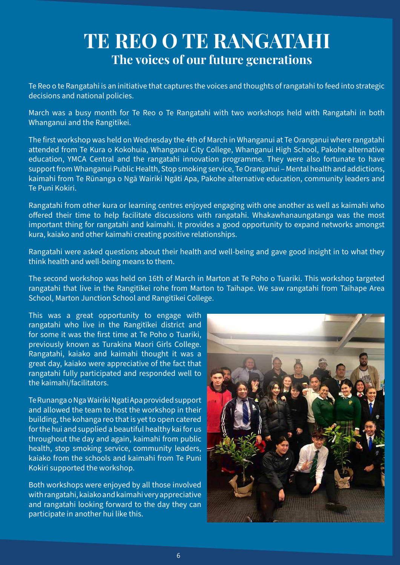#### **TE REO O TE RANGATAHI The voices of our future generations**

Te Reo o te Rangatahi is an initiative that captures the voices and thoughts of rangatahi to feed into strategic decisions and national policies.

March was a busy month for Te Reo o Te Rangatahi with two workshops held with Rangatahi in both Whanganui and the Rangitīkei.

The first workshop was held on Wednesday the 4th of March in Whanganui at Te Oranganui where rangatahi attended from Te Kura o Kokohuia, Whanganui City College, Whanganui High School, Pakohe alternative education, YMCA Central and the rangatahi innovation programme. They were also fortunate to have support from Whanganui Public Health, Stop smoking service, Te Oranganui – Mental health and addictions, kaimahi from Te Rūnanga o Ngā Wairiki Ngāti Apa, Pakohe alternative education, community leaders and Te Puni Kokiri.

Rangatahi from other kura or learning centres enjoyed engaging with one another as well as kaimahi who offered their time to help facilitate discussions with rangatahi. Whakawhanaungatanga was the most important thing for rangatahi and kaimahi. It provides a good opportunity to expand networks amongst kura, kaiako and other kaimahi creating positive relationships.

Rangatahi were asked questions about their health and well-being and gave good insight in to what they think health and well-being means to them.

The second workshop was held on 16th of March in Marton at Te Poho o Tuariki. This workshop targeted rangatahi that live in the Rangitīkei rohe from Marton to Taihape. We saw rangatahi from Taihape Area School, Marton Junction School and Rangitīkei College.

This was a great opportunity to engage with rangatahi who live in the Rangitīkei district and for some it was the first time at Te Poho o Tuariki, previously known as Turakina Maori Girls College. Rangatahi, kaiako and kaimahi thought it was a great day, kaiako were appreciative of the fact that rangatahi fully participated and responded well to the kaimahi/facilitators.

Te Runanga o Nga Wairiki Ngati Apa provided support and allowed the team to host the workshop in their building, the kohanga reo that is yet to open catered for the hui and supplied a beautiful healthy kai for us throughout the day and again, kaimahi from public health, stop smoking service, community leaders, kaiako from the schools and kaimahi from Te Puni Kokiri supported the workshop.

Both workshops were enjoyed by all those involved with rangatahi, kaiako and kaimahi very appreciative and rangatahi looking forward to the day they can participate in another hui like this.

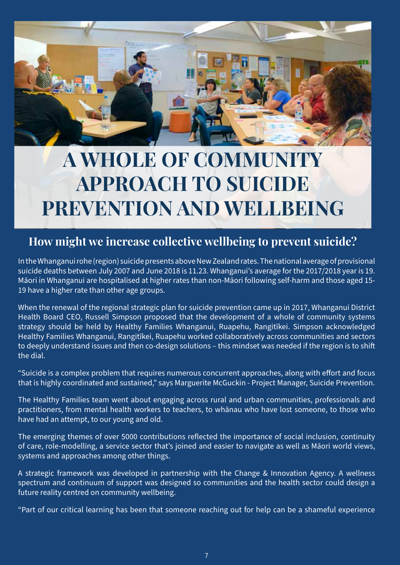

### **A WHOLE OF COMMUNITY APPROACH TO SUICIDE PREVENTION AND WELLBEING**

#### **How might we increase collective wellbeing to prevent suicide?**

In the Whanganui rohe (region) suicide presents above New Zealand rates. The national average of provisional suicide deaths between July 2007 and June 2018 is 11.23. Whanganui's average for the 2017/2018 year is 19. Māori in Whanganui are hospitalised at higher rates than non-Māori following self-harm and those aged 15- 19 have a higher rate than other age groups.

When the renewal of the regional strategic plan for suicide prevention came up in 2017, Whanganui District Health Board CEO, Russell Simpson proposed that the development of a whole of community systems strategy should be held by Healthy Families Whanganui, Ruapehu, Rangitīkei. Simpson acknowledged Healthy Families Whanganui, Rangitīkei, Ruapehu worked collaboratively across communities and sectors to deeply understand issues and then co-design solutions – this mindset was needed if the region is to shift the dial.

"Suicide is a complex problem that requires numerous concurrent approaches, along with effort and focus that is highly coordinated and sustained," says Marguerite McGuckin - Project Manager, Suicide Prevention.

The Healthy Families team went about engaging across rural and urban communities, professionals and practitioners, from mental health workers to teachers, to whānau who have lost someone, to those who have had an attempt, to our young and old.

The emerging themes of over 5000 contributions reflected the importance of social inclusion, continuity of care, role-modelling, a service sector that's joined and easier to navigate as well as Māori world views, systems and approaches among other things.

A strategic framework was developed in partnership with the Change & Innovation Agency. A wellness spectrum and continuum of support was designed so communities and the health sector could design a future reality centred on community wellbeing.

"Part of our critical learning has been that someone reaching out for help can be a shameful experience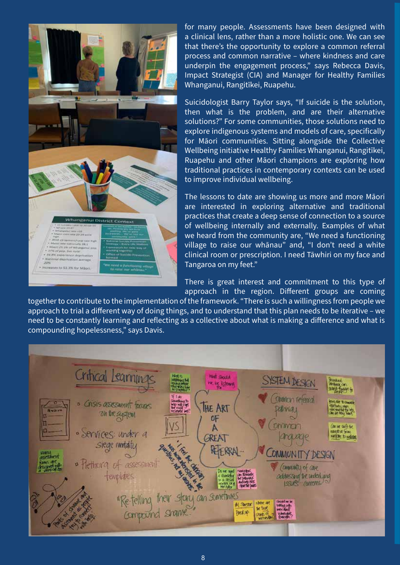

for many people. Assessments have been designed with a clinical lens, rather than a more holistic one. We can see that there's the opportunity to explore a common referral process and common narrative – where kindness and care underpin the engagement process," says Rebecca Davis, Impact Strategist (CIA) and Manager for Healthy Families Whanganui, Rangitīkei, Ruapehu.

Suicidologist Barry Taylor says, "If suicide is the solution, then what is the problem, and are their alternative solutions?" For some communities, those solutions need to explore indigenous systems and models of care, specifically for Māori communities. Sitting alongside the Collective Wellbeing initiative Healthy Families Whanganui, Rangitīkei, Ruapehu and other Māori champions are exploring how traditional practices in contemporary contexts can be used to improve individual wellbeing.

The lessons to date are showing us more and more Māori are interested in exploring alternative and traditional practices that create a deep sense of connection to a source of wellbeing internally and externally. Examples of what we heard from the community are, "We need a functioning village to raise our whānau" and, "I don't need a white clinical room or prescription. I need Tāwhiri on my face and Tangaroa on my feet."

There is great interest and commitment to this type of approach in the region. Different groups are coming

together to contribute to the implementation of the framework. "There is such a willingness from people we approach to trial a different way of doing things, and to understand that this plan needs to be iterative – we need to be constantly learning and reflecting as a collective about what is making a difference and what is compounding hopelessness," says Davis.

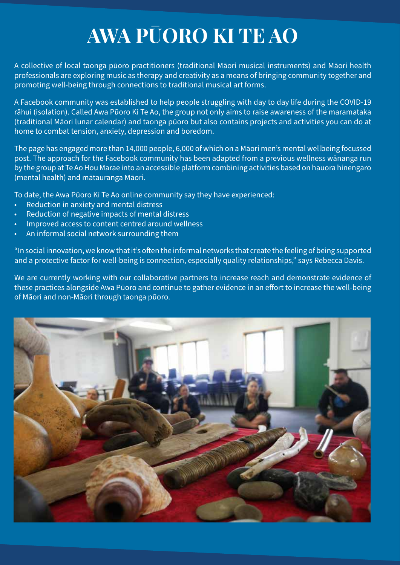### **AWA PŪORO KI TE AO**

A collective of local taonga pūoro practitioners (traditional Māori musical instruments) and Māori health professionals are exploring music as therapy and creativity as a means of bringing community together and promoting well-being through connections to traditional musical art forms.

A Facebook community was established to help people struggling with day to day life during the COVID-19 rāhui (isolation). Called Awa Pūoro Ki Te Ao, the group not only aims to raise awareness of the maramataka (traditional Māori lunar calendar) and taonga pūoro but also contains projects and activities you can do at home to combat tension, anxiety, depression and boredom.

The page has engaged more than 14,000 people, 6,000 of which on a Māori men's mental wellbeing focussed post. The approach for the Facebook community has been adapted from a previous wellness wānanga run by the group at Te Ao Hou Marae into an accessible platform combining activities based on hauora hinengaro (mental health) and mātauranga Māori.

To date, the Awa Pūoro Ki Te Ao online community say they have experienced:

- Reduction in anxiety and mental distress
- Reduction of negative impacts of mental distress
- Improved access to content centred around wellness
- An informal social network surrounding them

"In social innovation, we know that it's often the informal networks that create the feeling of being supported and a protective factor for well-being is connection, especially quality relationships," says Rebecca Davis.

We are currently working with our collaborative partners to increase reach and demonstrate evidence of these practices alongside Awa Pūoro and continue to gather evidence in an effort to increase the well-being of Māori and non-Māori through taonga pūoro.

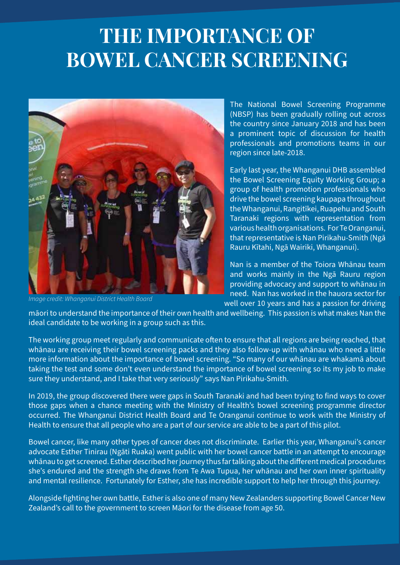### **THE IMPORTANCE OF BOWEL CANCER SCREENING**



*Image credit: Whanganui District Health Board*

The National Bowel Screening Programme (NBSP) has been gradually rolling out across the country since January 2018 and has been a prominent topic of discussion for health professionals and promotions teams in our region since late-2018.

Early last year, the Whanganui DHB assembled the Bowel Screening Equity Working Group; a group of health promotion professionals who drive the bowel screening kaupapa throughout the Whanganui, Rangitīkei, Ruapehu and South Taranaki regions with representation from various health organisations. For Te Oranganui, that representative is Nan Pirikahu-Smith (Ngā Rauru Kītahi, Ngā Wairiki, Whanganui).

Nan is a member of the Toiora Whānau team and works mainly in the Ngā Rauru region providing advocacy and support to whānau in need. Nan has worked in the hauora sector for well over 10 years and has a passion for driving

māori to understand the importance of their own health and wellbeing. This passion is what makes Nan the ideal candidate to be working in a group such as this.

The working group meet regularly and communicate often to ensure that all regions are being reached, that whānau are receiving their bowel screening packs and they also follow-up with whānau who need a little more information about the importance of bowel screening. "So many of our whānau are whakamā about taking the test and some don't even understand the importance of bowel screening so its my job to make sure they understand, and I take that very seriously" says Nan Pirikahu-Smith.

In 2019, the group discovered there were gaps in South Taranaki and had been trying to find ways to cover those gaps when a chance meeting with the Ministry of Health's bowel screening programme director occurred. The Whanganui District Health Board and Te Oranganui continue to work with the Ministry of Health to ensure that all people who are a part of our service are able to be a part of this pilot.

Bowel cancer, like many other types of cancer does not discriminate. Earlier this year, Whanganui's cancer advocate Esther Tinirau (Ngāti Ruaka) went public with her bowel cancer battle in an attempt to encourage whānau to get screened. Esther described her journey thus far talking about the different medical procedures she's endured and the strength she draws from Te Awa Tupua, her whānau and her own inner spirituality and mental resilience. Fortunately for Esther, she has incredible support to help her through this journey.

Alongside fighting her own battle, Esther is also one of many New Zealanders supporting Bowel Cancer New Zealand's call to the government to screen Māori for the disease from age 50.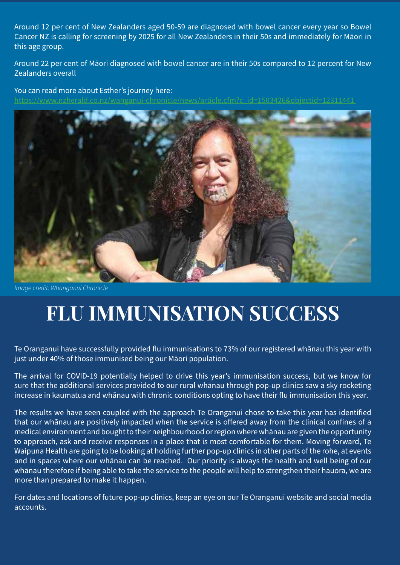Around 12 per cent of New Zealanders aged 50-59 are diagnosed with bowel cancer every year so Bowel Cancer NZ is calling for screening by 2025 for all New Zealanders in their 50s and immediately for Māori in this age group.

Around 22 per cent of Māori diagnosed with bowel cancer are in their 50s compared to 12 percent for New Zealanders overall

You can read more about Esther's journey here: https://www.nzherald.co.nz/wanganui-chronicle/news/article.cfm?c\_id=1503426&objectid=12311441



*Image credit: Whanganui Chronicle*

### **FLU IMMUNISATION SUCCESS**

Te Oranganui have successfully provided flu immunisations to 73% of our registered whānau this year with just under 40% of those immunised being our Māori population.

The arrival for COVID-19 potentially helped to drive this year's immunisation success, but we know for sure that the additional services provided to our rural whānau through pop-up clinics saw a sky rocketing increase in kaumatua and whānau with chronic conditions opting to have their flu immunisation this year.

The results we have seen coupled with the approach Te Oranganui chose to take this year has identified that our whānau are positively impacted when the service is offered away from the clinical confines of a medical environment and bought to their neighbourhood or region where whānau are given the opportunity to approach, ask and receive responses in a place that is most comfortable for them. Moving forward, Te Waipuna Health are going to be looking at holding further pop-up clinics in other parts of the rohe, at events and in spaces where our whānau can be reached. Our priority is always the health and well being of our whānau therefore if being able to take the service to the people will help to strengthen their hauora, we are more than prepared to make it happen.

For dates and locations of future pop-up clinics, keep an eye on our Te Oranganui website and social media accounts.